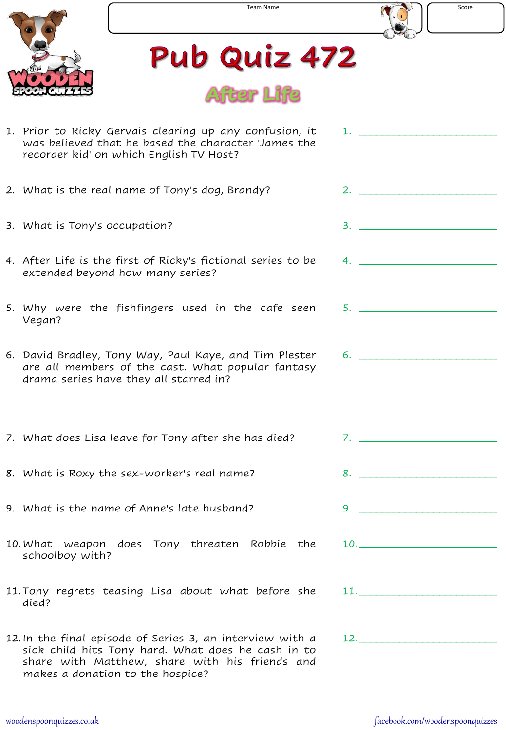



## Pub Quiz 472



| 1. Prior to Ricky Gervais clearing up any confusion, it<br>was believed that he based the character 'James the<br>recorder kid' on which English TV Host?                                             |                               |
|-------------------------------------------------------------------------------------------------------------------------------------------------------------------------------------------------------|-------------------------------|
| 2. What is the real name of Tony's dog, Brandy?                                                                                                                                                       | 2.                            |
| 3. What is Tony's occupation?                                                                                                                                                                         | $3.$ $\overline{\phantom{a}}$ |
| 4. After Life is the first of Ricky's fictional series to be<br>extended beyond how many series?                                                                                                      | 4.                            |
| 5. Why were the fishfingers used in the cafe seen<br>Vegan?                                                                                                                                           | 5.                            |
| 6. David Bradley, Tony Way, Paul Kaye, and Tim Plester<br>are all members of the cast. What popular fantasy<br>drama series have they all starred in?                                                 | 6.                            |
| 7. What does Lisa leave for Tony after she has died?                                                                                                                                                  | $7.$ $\overline{\phantom{a}}$ |
| 8. What is Roxy the sex-worker's real name?                                                                                                                                                           |                               |
| 9. What is the name of Anne's late husband?                                                                                                                                                           | 9.                            |
| 10. What weapon does Tony threaten Robbie the<br>schoolboy with?                                                                                                                                      | $10.$ $\_$                    |
| 11. Tony regrets teasing Lisa about what before she<br>died?                                                                                                                                          |                               |
| 12. In the final episode of Series 3, an interview with a<br>sick child hits Tony hard. What does he cash in to<br>share with Matthew, share with his friends and<br>makes a donation to the hospice? | 12.                           |